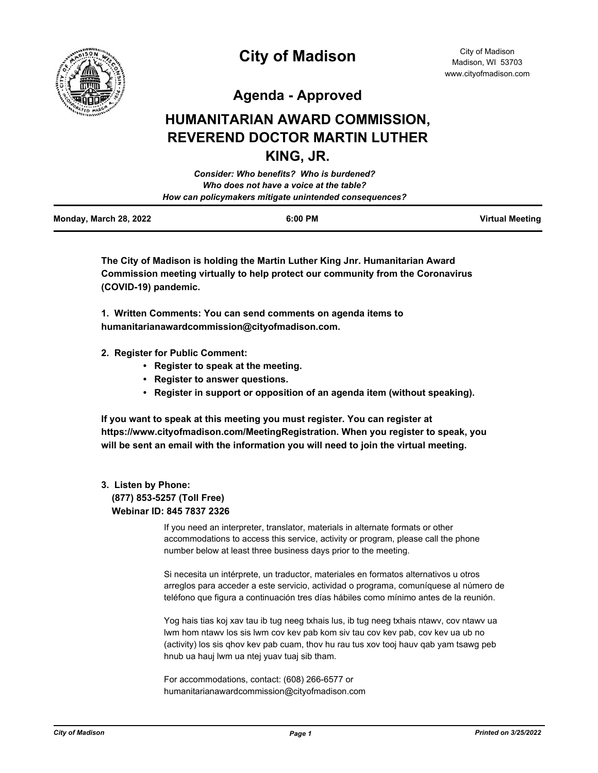

# **City of Madison**

City of Madison Madison, WI 53703 www.cityofmadison.com

**Agenda - Approved**

## **HUMANITARIAN AWARD COMMISSION, REVEREND DOCTOR MARTIN LUTHER KING, JR.**

| <b>Consider: Who benefits? Who is burdened?</b>        |  |
|--------------------------------------------------------|--|
| Who does not have a voice at the table?                |  |
| How can policymakers mitigate unintended consequences? |  |
|                                                        |  |

| Monday, March 28, 2022 | 6:00 PM | <b>Virtual Meeting</b> |
|------------------------|---------|------------------------|
|                        |         |                        |

**The City of Madison is holding the Martin Luther King Jnr. Humanitarian Award Commission meeting virtually to help protect our community from the Coronavirus (COVID-19) pandemic.**

**1. Written Comments: You can send comments on agenda items to humanitarianawardcommission@cityofmadison.com.**

- **2. Register for Public Comment:** 
	- **Register to speak at the meeting.**
	- **Register to answer questions.**
	- **Register in support or opposition of an agenda item (without speaking).**

**If you want to speak at this meeting you must register. You can register at https://www.cityofmadison.com/MeetingRegistration. When you register to speak, you will be sent an email with the information you will need to join the virtual meeting.**

#### **3. Listen by Phone: (877) 853-5257 (Toll Free) Webinar ID: 845 7837 2326**

If you need an interpreter, translator, materials in alternate formats or other accommodations to access this service, activity or program, please call the phone number below at least three business days prior to the meeting.

Si necesita un intérprete, un traductor, materiales en formatos alternativos u otros arreglos para acceder a este servicio, actividad o programa, comuníquese al número de teléfono que figura a continuación tres días hábiles como mínimo antes de la reunión.

Yog hais tias koj xav tau ib tug neeg txhais lus, ib tug neeg txhais ntawv, cov ntawv ua lwm hom ntawv los sis lwm cov kev pab kom siv tau cov kev pab, cov kev ua ub no (activity) los sis qhov kev pab cuam, thov hu rau tus xov tooj hauv qab yam tsawg peb hnub ua hauj lwm ua ntej yuav tuaj sib tham.

For accommodations, contact: (608) 266-6577 or humanitarianawardcommission@cityofmadison.com